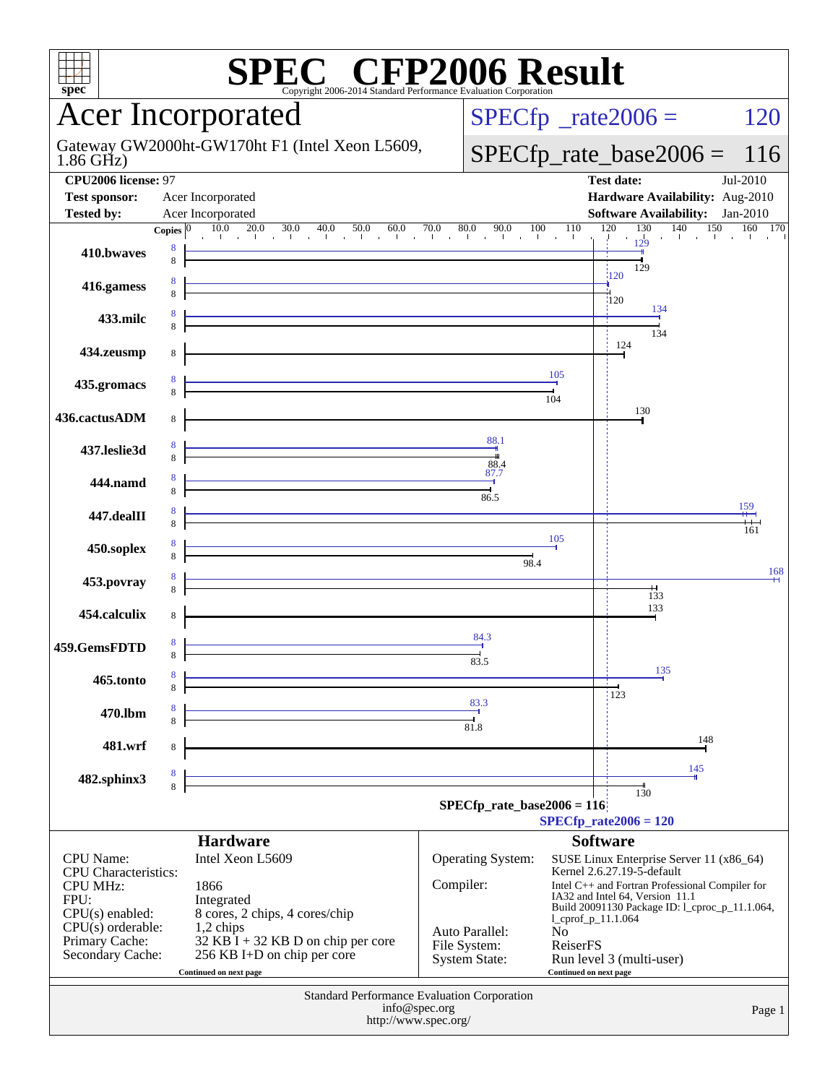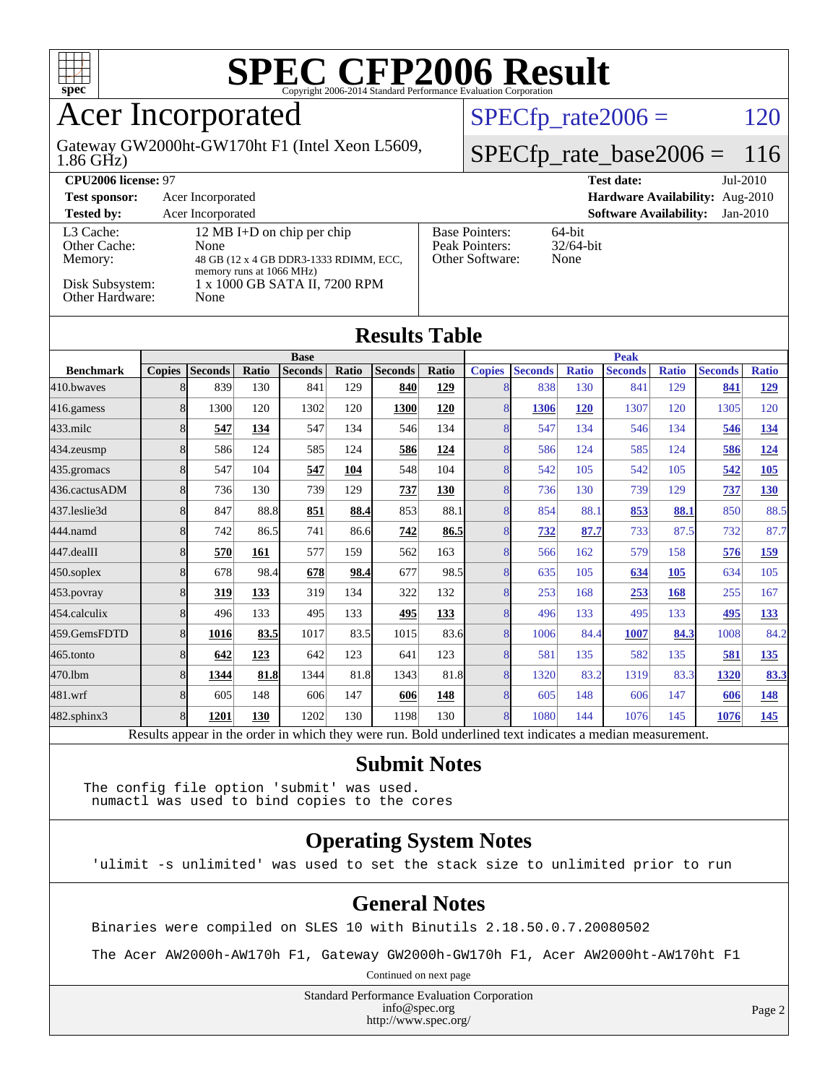

### Acer Incorporated

1.86 GHz) Gateway GW2000ht-GW170ht F1 (Intel Xeon L5609,  $SPECTp_rate2006 = 120$ 

## [SPECfp\\_rate\\_base2006 =](http://www.spec.org/auto/cpu2006/Docs/result-fields.html#SPECfpratebase2006) 116

#### **[CPU2006 license:](http://www.spec.org/auto/cpu2006/Docs/result-fields.html#CPU2006license)** 97 **[Test date:](http://www.spec.org/auto/cpu2006/Docs/result-fields.html#Testdate)** Jul-2010 **[Test sponsor:](http://www.spec.org/auto/cpu2006/Docs/result-fields.html#Testsponsor)** Acer Incorporated **[Hardware Availability:](http://www.spec.org/auto/cpu2006/Docs/result-fields.html#HardwareAvailability)** Aug-2010 **[Tested by:](http://www.spec.org/auto/cpu2006/Docs/result-fields.html#Testedby)** Acer Incorporated **[Software Availability:](http://www.spec.org/auto/cpu2006/Docs/result-fields.html#SoftwareAvailability)** Jan-2010 [L3 Cache:](http://www.spec.org/auto/cpu2006/Docs/result-fields.html#L3Cache) 12 MB I+D on chip per chip<br>Other Cache: None [Other Cache:](http://www.spec.org/auto/cpu2006/Docs/result-fields.html#OtherCache) [Memory:](http://www.spec.org/auto/cpu2006/Docs/result-fields.html#Memory) 48 GB (12 x 4 GB DDR3-1333 RDIMM, ECC, memory runs at 1066 MHz) [Disk Subsystem:](http://www.spec.org/auto/cpu2006/Docs/result-fields.html#DiskSubsystem) 1 x 1000 GB SATA II, 7200 RPM [Other Hardware:](http://www.spec.org/auto/cpu2006/Docs/result-fields.html#OtherHardware) None [Base Pointers:](http://www.spec.org/auto/cpu2006/Docs/result-fields.html#BasePointers) 64-bit<br>Peak Pointers: 32/64-bit [Peak Pointers:](http://www.spec.org/auto/cpu2006/Docs/result-fields.html#PeakPointers) [Other Software:](http://www.spec.org/auto/cpu2006/Docs/result-fields.html#OtherSoftware) None

| <b>Results Table</b> |               |                |       |                |       |                |              |               |                |              |                |              |                |              |
|----------------------|---------------|----------------|-------|----------------|-------|----------------|--------------|---------------|----------------|--------------|----------------|--------------|----------------|--------------|
|                      | <b>Base</b>   |                |       |                |       |                | <b>Peak</b>  |               |                |              |                |              |                |              |
| <b>Benchmark</b>     | <b>Copies</b> | <b>Seconds</b> | Ratio | <b>Seconds</b> | Ratio | <b>Seconds</b> | <b>Ratio</b> | <b>Copies</b> | <b>Seconds</b> | <b>Ratio</b> | <b>Seconds</b> | <b>Ratio</b> | <b>Seconds</b> | <b>Ratio</b> |
| 410.bwayes           | 8             | 839            | 130   | 841            | 129   | 840            | <u>129</u>   | 8             | 838            | 130          | 841            | 129          | 841            | <u>129</u>   |
| 416.gamess           | 8             | 1300           | 120   | 1302           | 120   | 1300           | 120          | 8             | 1306           | 120          | 1307           | 120          | 1305           | 120          |
| $433$ .milc          | 8             | 547            | 134   | 547            | 134   | 546            | 134          | 8             | 547            | 134          | 546            | 134          | 546            | <u>134</u>   |
| 434.zeusmp           | 8             | 586            | 124   | 585            | 124   | 586            | 124          | 8             | 586            | 124          | 585            | 124          | 586            | <u>124</u>   |
| 435.gromacs          | 8             | 547            | 104   | 547            | 104   | 548            | 104          | 8             | 542            | 105          | 542            | 105          | 542            | 105          |
| 436.cactusADM        | 8             | 736            | 130   | 739            | 129   | 737            | 130          | 8             | 736            | 130          | 739            | 129          | 737            | 130          |
| 437.leslie3d         | 8             | 847            | 88.8  | 851            | 88.4  | 853            | 88.1         | 8             | 854            | 88.1         | 853            | 88.1         | 850            | 88.5         |
| 444.namd             | 8             | 742            | 86.5  | 741            | 86.6  | 742            | 86.5         | 8             | <u>732</u>     | 87.7         | 733            | 87.5         | 732            | 87.7         |
| 447.dealII           | 8             | 570            | 161   | 577            | 159   | 562            | 163          | 8             | 566            | 162          | 579            | 158          | 576            | <u>159</u>   |
| $450$ .soplex        | 8             | 678            | 98.4  | 678            | 98.4  | 677            | 98.5         | 8             | 635            | 105          | 634            | 105          | 634            | 105          |
| $453$ .povray        | 8             | 319            | 133   | 319            | 134   | 322            | 132          | 8             | 253            | 168          | 253            | 168          | 255            | 167          |
| 454.calculix         | 8             | 496            | 133   | 495            | 133   | 495            | 133          | 8             | 496            | 133          | 495            | 133          | 495            | <u>133</u>   |
| 459.GemsFDTD         | 8             | 1016           | 83.5  | 1017           | 83.5  | 1015           | 83.6         | 8             | 1006           | 84.4         | 1007           | 84.3         | 1008           | 84.2         |
| 465.tonto            | 8             | 642            | 123   | 642            | 123   | 641            | 123          | 8             | 581            | 135          | 582            | 135          | 581            | <u>135</u>   |
| 470.1bm              | 8             | 1344           | 81.8  | 1344           | 81.8  | 1343           | 81.8         | 8             | 1320           | 83.2         | 1319           | 83.3         | 1320           | 83.3         |
| 481.wrf              | 8             | 605            | 148   | 606            | 147   | 606            | 148          | 8             | 605            | 148          | 606            | 147          | 606            | <u>148</u>   |
| 482.sphinx3          | 8             | 1201           | 130   | 1202           | 130   | 1198           | 130          | 8             | 1080           | 144          | 1076           | 145          | 1076           | 145          |

Results appear in the [order in which they were run.](http://www.spec.org/auto/cpu2006/Docs/result-fields.html#RunOrder) Bold underlined text [indicates a median measurement.](http://www.spec.org/auto/cpu2006/Docs/result-fields.html#Median)

#### **[Submit Notes](http://www.spec.org/auto/cpu2006/Docs/result-fields.html#SubmitNotes)**

The config file option 'submit' was used. numactl was used to bind copies to the cores

#### **[Operating System Notes](http://www.spec.org/auto/cpu2006/Docs/result-fields.html#OperatingSystemNotes)**

'ulimit -s unlimited' was used to set the stack size to unlimited prior to run

#### **[General Notes](http://www.spec.org/auto/cpu2006/Docs/result-fields.html#GeneralNotes)**

Binaries were compiled on SLES 10 with Binutils 2.18.50.0.7.20080502

The Acer AW2000h-AW170h F1, Gateway GW2000h-GW170h F1, Acer AW2000ht-AW170ht F1

Continued on next page

Standard Performance Evaluation Corporation [info@spec.org](mailto:info@spec.org) <http://www.spec.org/>

Page 2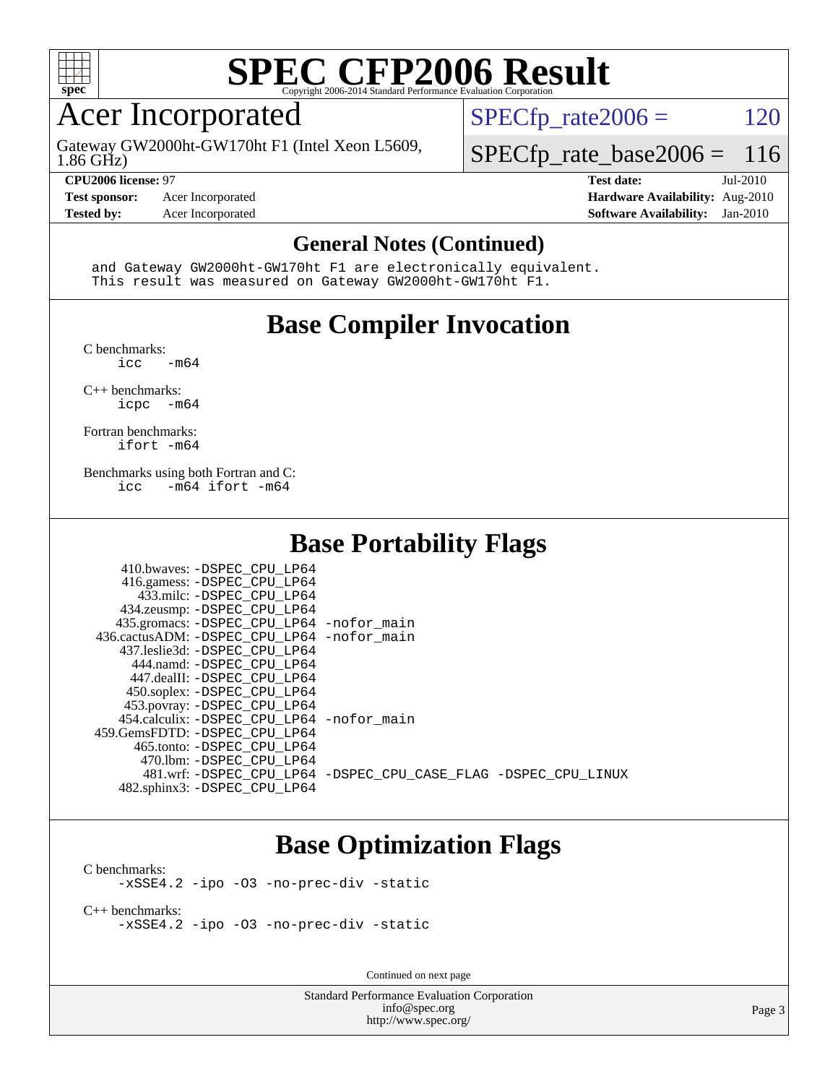

### Acer Incorporated

Gateway GW2000ht-GW170ht F1 (Intel Xeon L5609,

 $SPECTp_rate2006 = 120$ 

#### 1.86 GHz)

**[CPU2006 license:](http://www.spec.org/auto/cpu2006/Docs/result-fields.html#CPU2006license)** 97 **[Test date:](http://www.spec.org/auto/cpu2006/Docs/result-fields.html#Testdate)** Jul-2010

[SPECfp\\_rate\\_base2006 =](http://www.spec.org/auto/cpu2006/Docs/result-fields.html#SPECfpratebase2006) 116

**[Test sponsor:](http://www.spec.org/auto/cpu2006/Docs/result-fields.html#Testsponsor)** Acer Incorporated **[Hardware Availability:](http://www.spec.org/auto/cpu2006/Docs/result-fields.html#HardwareAvailability)** Aug-2010 **[Tested by:](http://www.spec.org/auto/cpu2006/Docs/result-fields.html#Testedby)** Acer Incorporated **[Software Availability:](http://www.spec.org/auto/cpu2006/Docs/result-fields.html#SoftwareAvailability)** Jan-2010

#### **[General Notes \(Continued\)](http://www.spec.org/auto/cpu2006/Docs/result-fields.html#GeneralNotes)**

 and Gateway GW2000ht-GW170ht F1 are electronically equivalent. This result was measured on Gateway GW2000ht-GW170ht F1.

### **[Base Compiler Invocation](http://www.spec.org/auto/cpu2006/Docs/result-fields.html#BaseCompilerInvocation)**

[C benchmarks](http://www.spec.org/auto/cpu2006/Docs/result-fields.html#Cbenchmarks):

 $\frac{1}{2}$ cc  $-\text{m64}$ 

[C++ benchmarks:](http://www.spec.org/auto/cpu2006/Docs/result-fields.html#CXXbenchmarks) [icpc -m64](http://www.spec.org/cpu2006/results/res2010q3/cpu2006-20100802-12818.flags.html#user_CXXbase_intel_icpc_64bit_bedb90c1146cab66620883ef4f41a67e)

[Fortran benchmarks](http://www.spec.org/auto/cpu2006/Docs/result-fields.html#Fortranbenchmarks): [ifort -m64](http://www.spec.org/cpu2006/results/res2010q3/cpu2006-20100802-12818.flags.html#user_FCbase_intel_ifort_64bit_ee9d0fb25645d0210d97eb0527dcc06e)

[Benchmarks using both Fortran and C](http://www.spec.org/auto/cpu2006/Docs/result-fields.html#BenchmarksusingbothFortranandC): [icc -m64](http://www.spec.org/cpu2006/results/res2010q3/cpu2006-20100802-12818.flags.html#user_CC_FCbase_intel_icc_64bit_0b7121f5ab7cfabee23d88897260401c) [ifort -m64](http://www.spec.org/cpu2006/results/res2010q3/cpu2006-20100802-12818.flags.html#user_CC_FCbase_intel_ifort_64bit_ee9d0fb25645d0210d97eb0527dcc06e)

#### **[Base Portability Flags](http://www.spec.org/auto/cpu2006/Docs/result-fields.html#BasePortabilityFlags)**

| 410.bwaves: -DSPEC CPU LP64                  |                                                                |
|----------------------------------------------|----------------------------------------------------------------|
| 416.gamess: -DSPEC_CPU_LP64                  |                                                                |
| 433.milc: -DSPEC CPU LP64                    |                                                                |
| 434.zeusmp: -DSPEC CPU LP64                  |                                                                |
| 435.gromacs: -DSPEC_CPU_LP64 -nofor_main     |                                                                |
| 436.cactusADM: - DSPEC CPU LP64 - nofor main |                                                                |
| 437.leslie3d: -DSPEC CPU LP64                |                                                                |
| 444.namd: -DSPEC CPU LP64                    |                                                                |
| 447.dealII: -DSPEC_CPU LP64                  |                                                                |
| 450.soplex: -DSPEC CPU LP64                  |                                                                |
| 453.povray: -DSPEC_CPU_LP64                  |                                                                |
| 454.calculix: - DSPEC CPU LP64 - nofor main  |                                                                |
| 459. GemsFDTD: - DSPEC CPU LP64              |                                                                |
| 465.tonto: -DSPEC_CPU_LP64                   |                                                                |
| 470.1bm: - DSPEC_CPU LP64                    |                                                                |
|                                              | 481.wrf: -DSPEC CPU_LP64 -DSPEC_CPU_CASE_FLAG -DSPEC_CPU_LINUX |
| 482.sphinx3: -DSPEC_CPU_LP64                 |                                                                |

#### **[Base Optimization Flags](http://www.spec.org/auto/cpu2006/Docs/result-fields.html#BaseOptimizationFlags)**

[C benchmarks](http://www.spec.org/auto/cpu2006/Docs/result-fields.html#Cbenchmarks): [-xSSE4.2](http://www.spec.org/cpu2006/results/res2010q3/cpu2006-20100802-12818.flags.html#user_CCbase_f-xSSE42_f91528193cf0b216347adb8b939d4107) [-ipo](http://www.spec.org/cpu2006/results/res2010q3/cpu2006-20100802-12818.flags.html#user_CCbase_f-ipo) [-O3](http://www.spec.org/cpu2006/results/res2010q3/cpu2006-20100802-12818.flags.html#user_CCbase_f-O3) [-no-prec-div](http://www.spec.org/cpu2006/results/res2010q3/cpu2006-20100802-12818.flags.html#user_CCbase_f-no-prec-div) [-static](http://www.spec.org/cpu2006/results/res2010q3/cpu2006-20100802-12818.flags.html#user_CCbase_f-static)

[C++ benchmarks:](http://www.spec.org/auto/cpu2006/Docs/result-fields.html#CXXbenchmarks) [-xSSE4.2](http://www.spec.org/cpu2006/results/res2010q3/cpu2006-20100802-12818.flags.html#user_CXXbase_f-xSSE42_f91528193cf0b216347adb8b939d4107) [-ipo](http://www.spec.org/cpu2006/results/res2010q3/cpu2006-20100802-12818.flags.html#user_CXXbase_f-ipo) [-O3](http://www.spec.org/cpu2006/results/res2010q3/cpu2006-20100802-12818.flags.html#user_CXXbase_f-O3) [-no-prec-div](http://www.spec.org/cpu2006/results/res2010q3/cpu2006-20100802-12818.flags.html#user_CXXbase_f-no-prec-div) [-static](http://www.spec.org/cpu2006/results/res2010q3/cpu2006-20100802-12818.flags.html#user_CXXbase_f-static)

Continued on next page

Standard Performance Evaluation Corporation [info@spec.org](mailto:info@spec.org) <http://www.spec.org/>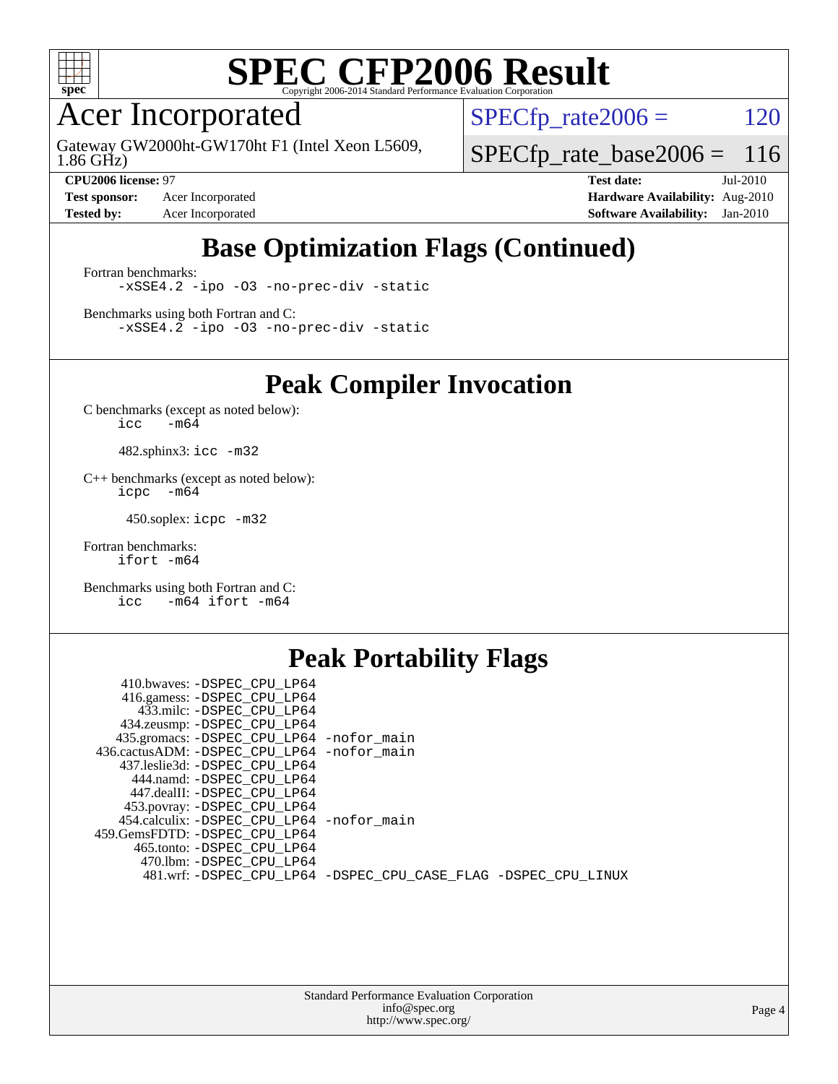

### Acer Incorporated

1.86 GHz) Gateway GW2000ht-GW170ht F1 (Intel Xeon L5609,  $SPECTp_rate2006 = 120$ 

[SPECfp\\_rate\\_base2006 =](http://www.spec.org/auto/cpu2006/Docs/result-fields.html#SPECfpratebase2006) 116

**[Test sponsor:](http://www.spec.org/auto/cpu2006/Docs/result-fields.html#Testsponsor)** Acer Incorporated **[Hardware Availability:](http://www.spec.org/auto/cpu2006/Docs/result-fields.html#HardwareAvailability)** Aug-2010

**[CPU2006 license:](http://www.spec.org/auto/cpu2006/Docs/result-fields.html#CPU2006license)** 97 **[Test date:](http://www.spec.org/auto/cpu2006/Docs/result-fields.html#Testdate)** Jul-2010 **[Tested by:](http://www.spec.org/auto/cpu2006/Docs/result-fields.html#Testedby)** Acer Incorporated **[Software Availability:](http://www.spec.org/auto/cpu2006/Docs/result-fields.html#SoftwareAvailability)** Jan-2010

## **[Base Optimization Flags \(Continued\)](http://www.spec.org/auto/cpu2006/Docs/result-fields.html#BaseOptimizationFlags)**

[Fortran benchmarks](http://www.spec.org/auto/cpu2006/Docs/result-fields.html#Fortranbenchmarks): [-xSSE4.2](http://www.spec.org/cpu2006/results/res2010q3/cpu2006-20100802-12818.flags.html#user_FCbase_f-xSSE42_f91528193cf0b216347adb8b939d4107) [-ipo](http://www.spec.org/cpu2006/results/res2010q3/cpu2006-20100802-12818.flags.html#user_FCbase_f-ipo) [-O3](http://www.spec.org/cpu2006/results/res2010q3/cpu2006-20100802-12818.flags.html#user_FCbase_f-O3) [-no-prec-div](http://www.spec.org/cpu2006/results/res2010q3/cpu2006-20100802-12818.flags.html#user_FCbase_f-no-prec-div) [-static](http://www.spec.org/cpu2006/results/res2010q3/cpu2006-20100802-12818.flags.html#user_FCbase_f-static)

[Benchmarks using both Fortran and C](http://www.spec.org/auto/cpu2006/Docs/result-fields.html#BenchmarksusingbothFortranandC): [-xSSE4.2](http://www.spec.org/cpu2006/results/res2010q3/cpu2006-20100802-12818.flags.html#user_CC_FCbase_f-xSSE42_f91528193cf0b216347adb8b939d4107) [-ipo](http://www.spec.org/cpu2006/results/res2010q3/cpu2006-20100802-12818.flags.html#user_CC_FCbase_f-ipo) [-O3](http://www.spec.org/cpu2006/results/res2010q3/cpu2006-20100802-12818.flags.html#user_CC_FCbase_f-O3) [-no-prec-div](http://www.spec.org/cpu2006/results/res2010q3/cpu2006-20100802-12818.flags.html#user_CC_FCbase_f-no-prec-div) [-static](http://www.spec.org/cpu2006/results/res2010q3/cpu2006-20100802-12818.flags.html#user_CC_FCbase_f-static)

**[Peak Compiler Invocation](http://www.spec.org/auto/cpu2006/Docs/result-fields.html#PeakCompilerInvocation)**

[C benchmarks \(except as noted below\)](http://www.spec.org/auto/cpu2006/Docs/result-fields.html#Cbenchmarksexceptasnotedbelow):  $\text{icc}$  -m64

482.sphinx3: [icc -m32](http://www.spec.org/cpu2006/results/res2010q3/cpu2006-20100802-12818.flags.html#user_peakCCLD482_sphinx3_intel_icc_32bit_a6a621f8d50482236b970c6ac5f55f93)

[C++ benchmarks \(except as noted below\):](http://www.spec.org/auto/cpu2006/Docs/result-fields.html#CXXbenchmarksexceptasnotedbelow) [icpc -m64](http://www.spec.org/cpu2006/results/res2010q3/cpu2006-20100802-12818.flags.html#user_CXXpeak_intel_icpc_64bit_bedb90c1146cab66620883ef4f41a67e)

450.soplex: [icpc -m32](http://www.spec.org/cpu2006/results/res2010q3/cpu2006-20100802-12818.flags.html#user_peakCXXLD450_soplex_intel_icpc_32bit_4e5a5ef1a53fd332b3c49e69c3330699)

[Fortran benchmarks](http://www.spec.org/auto/cpu2006/Docs/result-fields.html#Fortranbenchmarks): [ifort -m64](http://www.spec.org/cpu2006/results/res2010q3/cpu2006-20100802-12818.flags.html#user_FCpeak_intel_ifort_64bit_ee9d0fb25645d0210d97eb0527dcc06e)

[Benchmarks using both Fortran and C](http://www.spec.org/auto/cpu2006/Docs/result-fields.html#BenchmarksusingbothFortranandC): [icc -m64](http://www.spec.org/cpu2006/results/res2010q3/cpu2006-20100802-12818.flags.html#user_CC_FCpeak_intel_icc_64bit_0b7121f5ab7cfabee23d88897260401c) [ifort -m64](http://www.spec.org/cpu2006/results/res2010q3/cpu2006-20100802-12818.flags.html#user_CC_FCpeak_intel_ifort_64bit_ee9d0fb25645d0210d97eb0527dcc06e)

### **[Peak Portability Flags](http://www.spec.org/auto/cpu2006/Docs/result-fields.html#PeakPortabilityFlags)**

| 410.bwaves: -DSPEC CPU LP64                                    |  |
|----------------------------------------------------------------|--|
| 416.gamess: -DSPEC_CPU_LP64                                    |  |
| 433.milc: -DSPEC CPU LP64                                      |  |
| 434.zeusmp: -DSPEC_CPU_LP64                                    |  |
| 435.gromacs: -DSPEC_CPU_LP64 -nofor_main                       |  |
| 436.cactusADM: -DSPEC CPU LP64 -nofor main                     |  |
| 437.leslie3d: -DSPEC CPU LP64                                  |  |
| 444.namd: -DSPEC CPU LP64                                      |  |
| 447.dealII: -DSPEC CPU LP64                                    |  |
| 453.povray: -DSPEC_CPU_LP64                                    |  |
| 454.calculix: -DSPEC CPU LP64 -nofor main                      |  |
| 459.GemsFDTD: -DSPEC CPU LP64                                  |  |
| 465.tonto: - DSPEC CPU LP64                                    |  |
| 470.1bm: - DSPEC CPU LP64                                      |  |
| 481.wrf: -DSPEC_CPU_LP64 -DSPEC_CPU_CASE_FLAG -DSPEC_CPU_LINUX |  |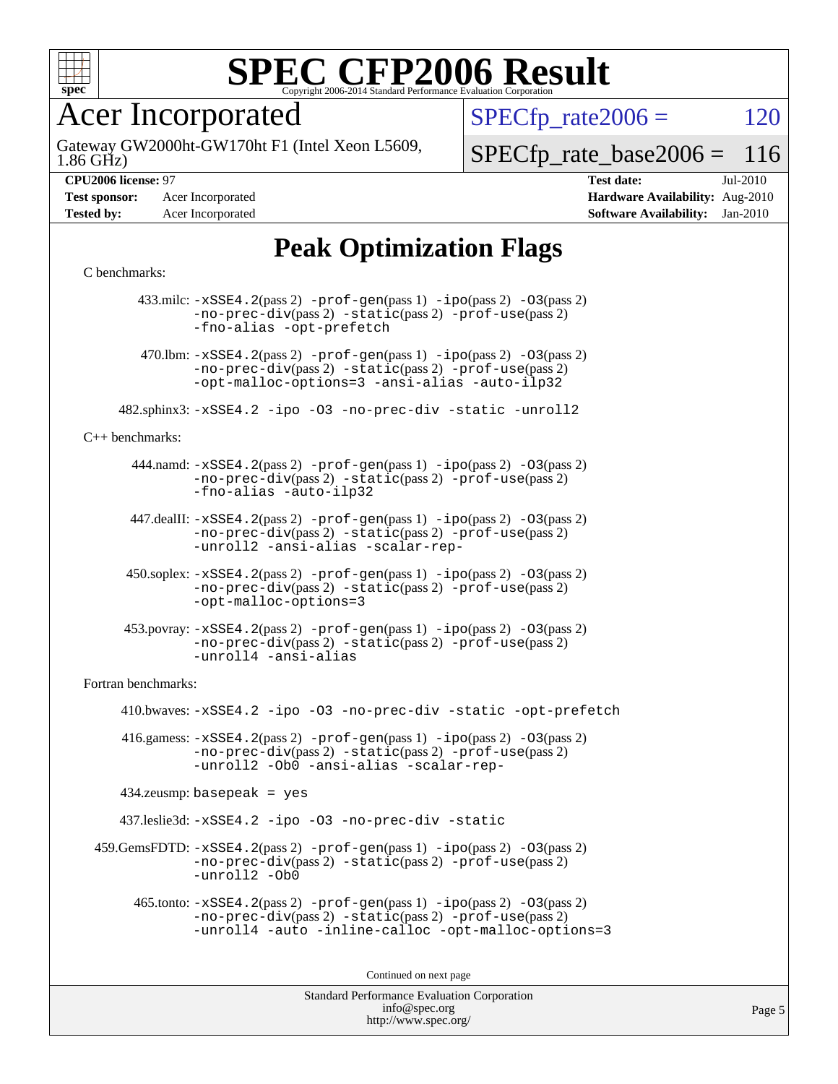

Acer Incorporated

1.86 GHz) Gateway GW2000ht-GW170ht F1 (Intel Xeon L5609,  $SPECTp\_rate2006 = 120$ 

[SPECfp\\_rate\\_base2006 =](http://www.spec.org/auto/cpu2006/Docs/result-fields.html#SPECfpratebase2006) 116

#### **[CPU2006 license:](http://www.spec.org/auto/cpu2006/Docs/result-fields.html#CPU2006license)** 97 **[Test date:](http://www.spec.org/auto/cpu2006/Docs/result-fields.html#Testdate)** Jul-2010

**[Test sponsor:](http://www.spec.org/auto/cpu2006/Docs/result-fields.html#Testsponsor)** Acer Incorporated **[Hardware Availability:](http://www.spec.org/auto/cpu2006/Docs/result-fields.html#HardwareAvailability)** Aug-2010 **[Tested by:](http://www.spec.org/auto/cpu2006/Docs/result-fields.html#Testedby)** Acer Incorporated **[Software Availability:](http://www.spec.org/auto/cpu2006/Docs/result-fields.html#SoftwareAvailability)** Jan-2010

### **[Peak Optimization Flags](http://www.spec.org/auto/cpu2006/Docs/result-fields.html#PeakOptimizationFlags)**

#### [C benchmarks](http://www.spec.org/auto/cpu2006/Docs/result-fields.html#Cbenchmarks):

 433.milc: [-xSSE4.2](http://www.spec.org/cpu2006/results/res2010q3/cpu2006-20100802-12818.flags.html#user_peakPASS2_CFLAGSPASS2_LDFLAGS433_milc_f-xSSE42_f91528193cf0b216347adb8b939d4107)(pass 2) [-prof-gen](http://www.spec.org/cpu2006/results/res2010q3/cpu2006-20100802-12818.flags.html#user_peakPASS1_CFLAGSPASS1_LDFLAGS433_milc_prof_gen_e43856698f6ca7b7e442dfd80e94a8fc)(pass 1) [-ipo](http://www.spec.org/cpu2006/results/res2010q3/cpu2006-20100802-12818.flags.html#user_peakPASS2_CFLAGSPASS2_LDFLAGS433_milc_f-ipo)(pass 2) [-O3](http://www.spec.org/cpu2006/results/res2010q3/cpu2006-20100802-12818.flags.html#user_peakPASS2_CFLAGSPASS2_LDFLAGS433_milc_f-O3)(pass 2) [-no-prec-div](http://www.spec.org/cpu2006/results/res2010q3/cpu2006-20100802-12818.flags.html#user_peakPASS2_CFLAGSPASS2_LDFLAGS433_milc_f-no-prec-div)(pass 2) [-static](http://www.spec.org/cpu2006/results/res2010q3/cpu2006-20100802-12818.flags.html#user_peakPASS2_CFLAGSPASS2_LDFLAGS433_milc_f-static)(pass 2) [-prof-use](http://www.spec.org/cpu2006/results/res2010q3/cpu2006-20100802-12818.flags.html#user_peakPASS2_CFLAGSPASS2_LDFLAGS433_milc_prof_use_bccf7792157ff70d64e32fe3e1250b55)(pass 2) [-fno-alias](http://www.spec.org/cpu2006/results/res2010q3/cpu2006-20100802-12818.flags.html#user_peakOPTIMIZE433_milc_f-no-alias_694e77f6c5a51e658e82ccff53a9e63a) [-opt-prefetch](http://www.spec.org/cpu2006/results/res2010q3/cpu2006-20100802-12818.flags.html#user_peakOPTIMIZE433_milc_f-opt-prefetch) 470.1bm:  $-xSSE4$ . 2(pass 2)  $-prof-gen(pass 1) -ipo(pass 2) -O3(pass 2)$  $-prof-gen(pass 1) -ipo(pass 2) -O3(pass 2)$  $-prof-gen(pass 1) -ipo(pass 2) -O3(pass 2)$  $-prof-gen(pass 1) -ipo(pass 2) -O3(pass 2)$  $-prof-gen(pass 1) -ipo(pass 2) -O3(pass 2)$  $-prof-gen(pass 1) -ipo(pass 2) -O3(pass 2)$ [-no-prec-div](http://www.spec.org/cpu2006/results/res2010q3/cpu2006-20100802-12818.flags.html#user_peakPASS2_CFLAGSPASS2_LDFLAGS470_lbm_f-no-prec-div)(pass 2) [-static](http://www.spec.org/cpu2006/results/res2010q3/cpu2006-20100802-12818.flags.html#user_peakPASS2_CFLAGSPASS2_LDFLAGS470_lbm_f-static)(pass 2) [-prof-use](http://www.spec.org/cpu2006/results/res2010q3/cpu2006-20100802-12818.flags.html#user_peakPASS2_CFLAGSPASS2_LDFLAGS470_lbm_prof_use_bccf7792157ff70d64e32fe3e1250b55)(pass 2) [-opt-malloc-options=3](http://www.spec.org/cpu2006/results/res2010q3/cpu2006-20100802-12818.flags.html#user_peakOPTIMIZE470_lbm_f-opt-malloc-options_13ab9b803cf986b4ee62f0a5998c2238) [-ansi-alias](http://www.spec.org/cpu2006/results/res2010q3/cpu2006-20100802-12818.flags.html#user_peakOPTIMIZE470_lbm_f-ansi-alias) [-auto-ilp32](http://www.spec.org/cpu2006/results/res2010q3/cpu2006-20100802-12818.flags.html#user_peakCOPTIMIZE470_lbm_f-auto-ilp32) 482.sphinx3: [-xSSE4.2](http://www.spec.org/cpu2006/results/res2010q3/cpu2006-20100802-12818.flags.html#user_peakOPTIMIZE482_sphinx3_f-xSSE42_f91528193cf0b216347adb8b939d4107) [-ipo](http://www.spec.org/cpu2006/results/res2010q3/cpu2006-20100802-12818.flags.html#user_peakOPTIMIZE482_sphinx3_f-ipo) [-O3](http://www.spec.org/cpu2006/results/res2010q3/cpu2006-20100802-12818.flags.html#user_peakOPTIMIZE482_sphinx3_f-O3) [-no-prec-div](http://www.spec.org/cpu2006/results/res2010q3/cpu2006-20100802-12818.flags.html#user_peakOPTIMIZE482_sphinx3_f-no-prec-div) [-static](http://www.spec.org/cpu2006/results/res2010q3/cpu2006-20100802-12818.flags.html#user_peakOPTIMIZE482_sphinx3_f-static) [-unroll2](http://www.spec.org/cpu2006/results/res2010q3/cpu2006-20100802-12818.flags.html#user_peakCOPTIMIZE482_sphinx3_f-unroll_784dae83bebfb236979b41d2422d7ec2) [C++ benchmarks:](http://www.spec.org/auto/cpu2006/Docs/result-fields.html#CXXbenchmarks) 444.namd: [-xSSE4.2](http://www.spec.org/cpu2006/results/res2010q3/cpu2006-20100802-12818.flags.html#user_peakPASS2_CXXFLAGSPASS2_LDFLAGS444_namd_f-xSSE42_f91528193cf0b216347adb8b939d4107)(pass 2) [-prof-gen](http://www.spec.org/cpu2006/results/res2010q3/cpu2006-20100802-12818.flags.html#user_peakPASS1_CXXFLAGSPASS1_LDFLAGS444_namd_prof_gen_e43856698f6ca7b7e442dfd80e94a8fc)(pass 1) [-ipo](http://www.spec.org/cpu2006/results/res2010q3/cpu2006-20100802-12818.flags.html#user_peakPASS2_CXXFLAGSPASS2_LDFLAGS444_namd_f-ipo)(pass 2) [-O3](http://www.spec.org/cpu2006/results/res2010q3/cpu2006-20100802-12818.flags.html#user_peakPASS2_CXXFLAGSPASS2_LDFLAGS444_namd_f-O3)(pass 2) [-no-prec-div](http://www.spec.org/cpu2006/results/res2010q3/cpu2006-20100802-12818.flags.html#user_peakPASS2_CXXFLAGSPASS2_LDFLAGS444_namd_f-no-prec-div)(pass 2) [-static](http://www.spec.org/cpu2006/results/res2010q3/cpu2006-20100802-12818.flags.html#user_peakPASS2_CXXFLAGSPASS2_LDFLAGS444_namd_f-static)(pass 2) [-prof-use](http://www.spec.org/cpu2006/results/res2010q3/cpu2006-20100802-12818.flags.html#user_peakPASS2_CXXFLAGSPASS2_LDFLAGS444_namd_prof_use_bccf7792157ff70d64e32fe3e1250b55)(pass 2) [-fno-alias](http://www.spec.org/cpu2006/results/res2010q3/cpu2006-20100802-12818.flags.html#user_peakCXXOPTIMIZE444_namd_f-no-alias_694e77f6c5a51e658e82ccff53a9e63a) [-auto-ilp32](http://www.spec.org/cpu2006/results/res2010q3/cpu2006-20100802-12818.flags.html#user_peakCXXOPTIMIZE444_namd_f-auto-ilp32) 447.dealII: [-xSSE4.2](http://www.spec.org/cpu2006/results/res2010q3/cpu2006-20100802-12818.flags.html#user_peakPASS2_CXXFLAGSPASS2_LDFLAGS447_dealII_f-xSSE42_f91528193cf0b216347adb8b939d4107)(pass 2) [-prof-gen](http://www.spec.org/cpu2006/results/res2010q3/cpu2006-20100802-12818.flags.html#user_peakPASS1_CXXFLAGSPASS1_LDFLAGS447_dealII_prof_gen_e43856698f6ca7b7e442dfd80e94a8fc)(pass 1) [-ipo](http://www.spec.org/cpu2006/results/res2010q3/cpu2006-20100802-12818.flags.html#user_peakPASS2_CXXFLAGSPASS2_LDFLAGS447_dealII_f-ipo)(pass 2) [-O3](http://www.spec.org/cpu2006/results/res2010q3/cpu2006-20100802-12818.flags.html#user_peakPASS2_CXXFLAGSPASS2_LDFLAGS447_dealII_f-O3)(pass 2) [-no-prec-div](http://www.spec.org/cpu2006/results/res2010q3/cpu2006-20100802-12818.flags.html#user_peakPASS2_CXXFLAGSPASS2_LDFLAGS447_dealII_f-no-prec-div)(pass 2) [-static](http://www.spec.org/cpu2006/results/res2010q3/cpu2006-20100802-12818.flags.html#user_peakPASS2_CXXFLAGSPASS2_LDFLAGS447_dealII_f-static)(pass 2) [-prof-use](http://www.spec.org/cpu2006/results/res2010q3/cpu2006-20100802-12818.flags.html#user_peakPASS2_CXXFLAGSPASS2_LDFLAGS447_dealII_prof_use_bccf7792157ff70d64e32fe3e1250b55)(pass 2) [-unroll2](http://www.spec.org/cpu2006/results/res2010q3/cpu2006-20100802-12818.flags.html#user_peakCXXOPTIMIZE447_dealII_f-unroll_784dae83bebfb236979b41d2422d7ec2) [-ansi-alias](http://www.spec.org/cpu2006/results/res2010q3/cpu2006-20100802-12818.flags.html#user_peakCXXOPTIMIZE447_dealII_f-ansi-alias) [-scalar-rep-](http://www.spec.org/cpu2006/results/res2010q3/cpu2006-20100802-12818.flags.html#user_peakCXXOPTIMIZE447_dealII_f-disablescalarrep_abbcad04450fb118e4809c81d83c8a1d) 450.soplex: [-xSSE4.2](http://www.spec.org/cpu2006/results/res2010q3/cpu2006-20100802-12818.flags.html#user_peakPASS2_CXXFLAGSPASS2_LDFLAGS450_soplex_f-xSSE42_f91528193cf0b216347adb8b939d4107)(pass 2) [-prof-gen](http://www.spec.org/cpu2006/results/res2010q3/cpu2006-20100802-12818.flags.html#user_peakPASS1_CXXFLAGSPASS1_LDFLAGS450_soplex_prof_gen_e43856698f6ca7b7e442dfd80e94a8fc)(pass 1) [-ipo](http://www.spec.org/cpu2006/results/res2010q3/cpu2006-20100802-12818.flags.html#user_peakPASS2_CXXFLAGSPASS2_LDFLAGS450_soplex_f-ipo)(pass 2) [-O3](http://www.spec.org/cpu2006/results/res2010q3/cpu2006-20100802-12818.flags.html#user_peakPASS2_CXXFLAGSPASS2_LDFLAGS450_soplex_f-O3)(pass 2) [-no-prec-div](http://www.spec.org/cpu2006/results/res2010q3/cpu2006-20100802-12818.flags.html#user_peakPASS2_CXXFLAGSPASS2_LDFLAGS450_soplex_f-no-prec-div)(pass 2) [-static](http://www.spec.org/cpu2006/results/res2010q3/cpu2006-20100802-12818.flags.html#user_peakPASS2_CXXFLAGSPASS2_LDFLAGS450_soplex_f-static)(pass 2) [-prof-use](http://www.spec.org/cpu2006/results/res2010q3/cpu2006-20100802-12818.flags.html#user_peakPASS2_CXXFLAGSPASS2_LDFLAGS450_soplex_prof_use_bccf7792157ff70d64e32fe3e1250b55)(pass 2) [-opt-malloc-options=3](http://www.spec.org/cpu2006/results/res2010q3/cpu2006-20100802-12818.flags.html#user_peakOPTIMIZE450_soplex_f-opt-malloc-options_13ab9b803cf986b4ee62f0a5998c2238) 453.povray: [-xSSE4.2](http://www.spec.org/cpu2006/results/res2010q3/cpu2006-20100802-12818.flags.html#user_peakPASS2_CXXFLAGSPASS2_LDFLAGS453_povray_f-xSSE42_f91528193cf0b216347adb8b939d4107)(pass 2) [-prof-gen](http://www.spec.org/cpu2006/results/res2010q3/cpu2006-20100802-12818.flags.html#user_peakPASS1_CXXFLAGSPASS1_LDFLAGS453_povray_prof_gen_e43856698f6ca7b7e442dfd80e94a8fc)(pass 1) [-ipo](http://www.spec.org/cpu2006/results/res2010q3/cpu2006-20100802-12818.flags.html#user_peakPASS2_CXXFLAGSPASS2_LDFLAGS453_povray_f-ipo)(pass 2) [-O3](http://www.spec.org/cpu2006/results/res2010q3/cpu2006-20100802-12818.flags.html#user_peakPASS2_CXXFLAGSPASS2_LDFLAGS453_povray_f-O3)(pass 2) [-no-prec-div](http://www.spec.org/cpu2006/results/res2010q3/cpu2006-20100802-12818.flags.html#user_peakPASS2_CXXFLAGSPASS2_LDFLAGS453_povray_f-no-prec-div)(pass 2) [-static](http://www.spec.org/cpu2006/results/res2010q3/cpu2006-20100802-12818.flags.html#user_peakPASS2_CXXFLAGSPASS2_LDFLAGS453_povray_f-static)(pass 2) [-prof-use](http://www.spec.org/cpu2006/results/res2010q3/cpu2006-20100802-12818.flags.html#user_peakPASS2_CXXFLAGSPASS2_LDFLAGS453_povray_prof_use_bccf7792157ff70d64e32fe3e1250b55)(pass 2) [-unroll4](http://www.spec.org/cpu2006/results/res2010q3/cpu2006-20100802-12818.flags.html#user_peakCXXOPTIMIZE453_povray_f-unroll_4e5e4ed65b7fd20bdcd365bec371b81f) [-ansi-alias](http://www.spec.org/cpu2006/results/res2010q3/cpu2006-20100802-12818.flags.html#user_peakCXXOPTIMIZE453_povray_f-ansi-alias) [Fortran benchmarks](http://www.spec.org/auto/cpu2006/Docs/result-fields.html#Fortranbenchmarks): 410.bwaves: [-xSSE4.2](http://www.spec.org/cpu2006/results/res2010q3/cpu2006-20100802-12818.flags.html#user_peakOPTIMIZE410_bwaves_f-xSSE42_f91528193cf0b216347adb8b939d4107) [-ipo](http://www.spec.org/cpu2006/results/res2010q3/cpu2006-20100802-12818.flags.html#user_peakOPTIMIZE410_bwaves_f-ipo) [-O3](http://www.spec.org/cpu2006/results/res2010q3/cpu2006-20100802-12818.flags.html#user_peakOPTIMIZE410_bwaves_f-O3) [-no-prec-div](http://www.spec.org/cpu2006/results/res2010q3/cpu2006-20100802-12818.flags.html#user_peakOPTIMIZE410_bwaves_f-no-prec-div) [-static](http://www.spec.org/cpu2006/results/res2010q3/cpu2006-20100802-12818.flags.html#user_peakOPTIMIZE410_bwaves_f-static) [-opt-prefetch](http://www.spec.org/cpu2006/results/res2010q3/cpu2006-20100802-12818.flags.html#user_peakOPTIMIZE410_bwaves_f-opt-prefetch) 416.gamess: [-xSSE4.2](http://www.spec.org/cpu2006/results/res2010q3/cpu2006-20100802-12818.flags.html#user_peakPASS2_FFLAGSPASS2_LDFLAGS416_gamess_f-xSSE42_f91528193cf0b216347adb8b939d4107)(pass 2) [-prof-gen](http://www.spec.org/cpu2006/results/res2010q3/cpu2006-20100802-12818.flags.html#user_peakPASS1_FFLAGSPASS1_LDFLAGS416_gamess_prof_gen_e43856698f6ca7b7e442dfd80e94a8fc)(pass 1) [-ipo](http://www.spec.org/cpu2006/results/res2010q3/cpu2006-20100802-12818.flags.html#user_peakPASS2_FFLAGSPASS2_LDFLAGS416_gamess_f-ipo)(pass 2) [-O3](http://www.spec.org/cpu2006/results/res2010q3/cpu2006-20100802-12818.flags.html#user_peakPASS2_FFLAGSPASS2_LDFLAGS416_gamess_f-O3)(pass 2) [-no-prec-div](http://www.spec.org/cpu2006/results/res2010q3/cpu2006-20100802-12818.flags.html#user_peakPASS2_FFLAGSPASS2_LDFLAGS416_gamess_f-no-prec-div)(pass 2) [-static](http://www.spec.org/cpu2006/results/res2010q3/cpu2006-20100802-12818.flags.html#user_peakPASS2_FFLAGSPASS2_LDFLAGS416_gamess_f-static)(pass 2) [-prof-use](http://www.spec.org/cpu2006/results/res2010q3/cpu2006-20100802-12818.flags.html#user_peakPASS2_FFLAGSPASS2_LDFLAGS416_gamess_prof_use_bccf7792157ff70d64e32fe3e1250b55)(pass 2) [-unroll2](http://www.spec.org/cpu2006/results/res2010q3/cpu2006-20100802-12818.flags.html#user_peakOPTIMIZE416_gamess_f-unroll_784dae83bebfb236979b41d2422d7ec2) [-Ob0](http://www.spec.org/cpu2006/results/res2010q3/cpu2006-20100802-12818.flags.html#user_peakOPTIMIZE416_gamess_f-Ob_n_fbe6f6428adb7d4b74b1e99bb2444c2d) [-ansi-alias](http://www.spec.org/cpu2006/results/res2010q3/cpu2006-20100802-12818.flags.html#user_peakOPTIMIZE416_gamess_f-ansi-alias) [-scalar-rep-](http://www.spec.org/cpu2006/results/res2010q3/cpu2006-20100802-12818.flags.html#user_peakOPTIMIZE416_gamess_f-disablescalarrep_abbcad04450fb118e4809c81d83c8a1d) 434.zeusmp: basepeak = yes 437.leslie3d: [-xSSE4.2](http://www.spec.org/cpu2006/results/res2010q3/cpu2006-20100802-12818.flags.html#user_peakOPTIMIZE437_leslie3d_f-xSSE42_f91528193cf0b216347adb8b939d4107) [-ipo](http://www.spec.org/cpu2006/results/res2010q3/cpu2006-20100802-12818.flags.html#user_peakOPTIMIZE437_leslie3d_f-ipo) [-O3](http://www.spec.org/cpu2006/results/res2010q3/cpu2006-20100802-12818.flags.html#user_peakOPTIMIZE437_leslie3d_f-O3) [-no-prec-div](http://www.spec.org/cpu2006/results/res2010q3/cpu2006-20100802-12818.flags.html#user_peakOPTIMIZE437_leslie3d_f-no-prec-div) [-static](http://www.spec.org/cpu2006/results/res2010q3/cpu2006-20100802-12818.flags.html#user_peakOPTIMIZE437_leslie3d_f-static)  $459$ .GemsFDTD:  $-xSSE4$ .  $2(pass 2)$  [-prof-gen](http://www.spec.org/cpu2006/results/res2010q3/cpu2006-20100802-12818.flags.html#user_peakPASS1_FFLAGSPASS1_LDFLAGS459_GemsFDTD_prof_gen_e43856698f6ca7b7e442dfd80e94a8fc)(pass 1) [-ipo](http://www.spec.org/cpu2006/results/res2010q3/cpu2006-20100802-12818.flags.html#user_peakPASS2_FFLAGSPASS2_LDFLAGS459_GemsFDTD_f-ipo)(pass 2) -03(pass 2) [-no-prec-div](http://www.spec.org/cpu2006/results/res2010q3/cpu2006-20100802-12818.flags.html#user_peakPASS2_FFLAGSPASS2_LDFLAGS459_GemsFDTD_f-no-prec-div)(pass 2) [-static](http://www.spec.org/cpu2006/results/res2010q3/cpu2006-20100802-12818.flags.html#user_peakPASS2_FFLAGSPASS2_LDFLAGS459_GemsFDTD_f-static)(pass 2) [-prof-use](http://www.spec.org/cpu2006/results/res2010q3/cpu2006-20100802-12818.flags.html#user_peakPASS2_FFLAGSPASS2_LDFLAGS459_GemsFDTD_prof_use_bccf7792157ff70d64e32fe3e1250b55)(pass 2) [-unroll2](http://www.spec.org/cpu2006/results/res2010q3/cpu2006-20100802-12818.flags.html#user_peakOPTIMIZE459_GemsFDTD_f-unroll_784dae83bebfb236979b41d2422d7ec2) [-Ob0](http://www.spec.org/cpu2006/results/res2010q3/cpu2006-20100802-12818.flags.html#user_peakOPTIMIZE459_GemsFDTD_f-Ob_n_fbe6f6428adb7d4b74b1e99bb2444c2d) 465.tonto: [-xSSE4.2](http://www.spec.org/cpu2006/results/res2010q3/cpu2006-20100802-12818.flags.html#user_peakPASS2_FFLAGSPASS2_LDFLAGS465_tonto_f-xSSE42_f91528193cf0b216347adb8b939d4107)(pass 2) [-prof-gen](http://www.spec.org/cpu2006/results/res2010q3/cpu2006-20100802-12818.flags.html#user_peakPASS1_FFLAGSPASS1_LDFLAGS465_tonto_prof_gen_e43856698f6ca7b7e442dfd80e94a8fc)(pass 1) [-ipo](http://www.spec.org/cpu2006/results/res2010q3/cpu2006-20100802-12818.flags.html#user_peakPASS2_FFLAGSPASS2_LDFLAGS465_tonto_f-ipo)(pass 2) [-O3](http://www.spec.org/cpu2006/results/res2010q3/cpu2006-20100802-12818.flags.html#user_peakPASS2_FFLAGSPASS2_LDFLAGS465_tonto_f-O3)(pass 2) [-no-prec-div](http://www.spec.org/cpu2006/results/res2010q3/cpu2006-20100802-12818.flags.html#user_peakPASS2_FFLAGSPASS2_LDFLAGS465_tonto_f-no-prec-div)(pass 2) [-static](http://www.spec.org/cpu2006/results/res2010q3/cpu2006-20100802-12818.flags.html#user_peakPASS2_FFLAGSPASS2_LDFLAGS465_tonto_f-static)(pass 2) [-prof-use](http://www.spec.org/cpu2006/results/res2010q3/cpu2006-20100802-12818.flags.html#user_peakPASS2_FFLAGSPASS2_LDFLAGS465_tonto_prof_use_bccf7792157ff70d64e32fe3e1250b55)(pass 2) [-unroll4](http://www.spec.org/cpu2006/results/res2010q3/cpu2006-20100802-12818.flags.html#user_peakOPTIMIZE465_tonto_f-unroll_4e5e4ed65b7fd20bdcd365bec371b81f) [-auto](http://www.spec.org/cpu2006/results/res2010q3/cpu2006-20100802-12818.flags.html#user_peakOPTIMIZE465_tonto_f-auto) [-inline-calloc](http://www.spec.org/cpu2006/results/res2010q3/cpu2006-20100802-12818.flags.html#user_peakOPTIMIZE465_tonto_f-inline-calloc) [-opt-malloc-options=3](http://www.spec.org/cpu2006/results/res2010q3/cpu2006-20100802-12818.flags.html#user_peakOPTIMIZE465_tonto_f-opt-malloc-options_13ab9b803cf986b4ee62f0a5998c2238) Continued on next page

Standard Performance Evaluation Corporation [info@spec.org](mailto:info@spec.org) <http://www.spec.org/>